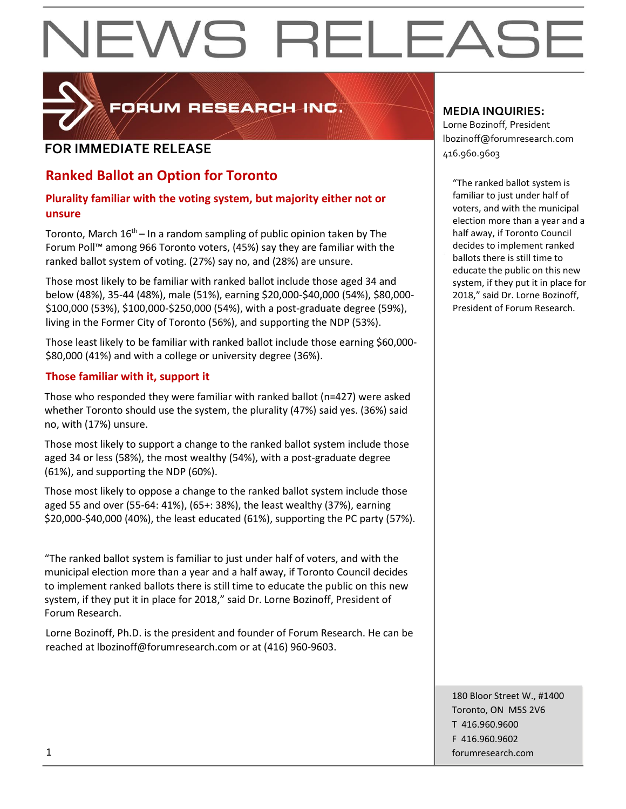# EWS RELEAS



FORUM RESEARCH INC.

### **FOR IMMEDIATE RELEASE**  $\begin{bmatrix} 1.56 & 0.0000 & 0.00000 & 0.00000 & 0.00000 & 0.00000 & 0.00000 & 0.00000 & 0.00000 & 0.00000 & 0.00000 & 0.00000 & 0.00000 & 0.00000 & 0.00000 & 0.00000 & 0.00000 & 0.00000 & 0.00000 & 0.00000 & 0.00000 & 0.000$

### **Ranked Ballot an Option for Toronto**

#### **Plurality familiar with the voting system, but majority either not or unsure**

Toronto, March  $16<sup>th</sup>$  – In a random sampling of public opinion taken by The Forum Poll™ among 966 Toronto voters, (45%) say they are familiar with the ranked ballot system of voting. (27%) say no, and (28%) are unsure.

Those most likely to be familiar with ranked ballot include those aged 34 and below (48%), 35-44 (48%), male (51%), earning \$20,000-\$40,000 (54%), \$80,000- \$100,000 (53%), \$100,000-\$250,000 (54%), with a post-graduate degree (59%), living in the Former City of Toronto (56%), and supporting the NDP (53%).

Those least likely to be familiar with ranked ballot include those earning \$60,000- \$80,000 (41%) and with a college or university degree (36%).

#### **Those familiar with it, support it**

Those who responded they were familiar with ranked ballot (n=427) were asked whether Toronto should use the system, the plurality (47%) said yes. (36%) said no, with (17%) unsure.

Those most likely to support a change to the ranked ballot system include those aged 34 or less (58%), the most wealthy (54%), with a post-graduate degree (61%), and supporting the NDP (60%).

Those most likely to oppose a change to the ranked ballot system include those aged 55 and over (55-64: 41%), (65+: 38%), the least wealthy (37%), earning \$20,000-\$40,000 (40%), the least educated (61%), supporting the PC party (57%).

"The ranked ballot system is familiar to just under half of voters, and with the municipal election more than a year and a half away, if Toronto Council decides to implement ranked ballots there is still time to educate the public on this new system, if they put it in place for 2018," said Dr. Lorne Bozinoff, President of Forum Research.

Lorne Bozinoff, Ph.D. is the president and founder of Forum Research. He can be reached at lbozinoff@forumresearch.com or at (416) 960-9603.

#### **MEDIA INQUIRIES:**

Lorne Bozinoff, President lbozinoff@forumresearch.com

"The ranked ballot system is familiar to just under half of voters, and with the municipal election more than a year and a half away, if Toronto Council decides to implement ranked ballots there is still time to educate the public on this new system, if they put it in place for 2018," said Dr. Lorne Bozinoff, President of Forum Research.

180 Bloor Street W., #1400 Toronto, ON M5S 2V6 T 416.960.9600 F 416.960.9602 1 forumresearch.com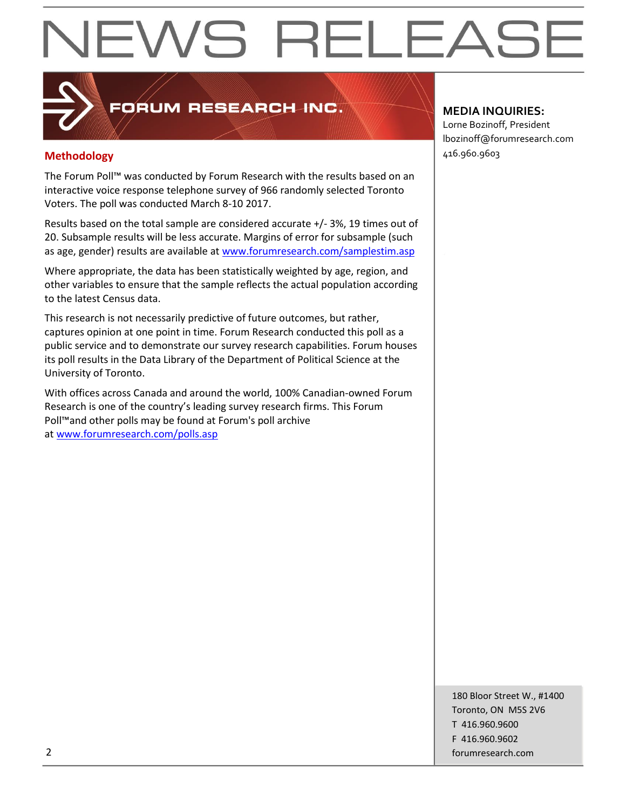## EWS RELEASE

### FORUM RESEARCH INC.

#### **Methodology** 416.960.9603

The Forum Poll™ was conducted by Forum Research with the results based on an interactive voice response telephone survey of 966 randomly selected Toronto Voters. The poll was conducted March 8-10 2017.

Results based on the total sample are considered accurate +/- 3%, 19 times out of 20. Subsample results will be less accurate. Margins of error for subsample (such as age, gender) results are available at [www.forumresearch.com/samplestim.asp](http://www.forumresearch.com/samplestim.asp)

Where appropriate, the data has been statistically weighted by age, region, and other variables to ensure that the sample reflects the actual population according to the latest Census data.

This research is not necessarily predictive of future outcomes, but rather, captures opinion at one point in time. Forum Research conducted this poll as a public service and to demonstrate our survey research capabilities. Forum houses its poll results in the Data Library of the Department of Political Science at the University of Toronto.

With offices across Canada and around the world, 100% Canadian-owned Forum Research is one of the country's leading survey research firms. This Forum Poll™and other polls may be found at Forum's poll archive at [www.forumresearch.com/polls.asp](http://www.forumresearch.com/polls.asp)

#### **MEDIA INQUIRIES:**

Lorne Bozinoff, President lbozinoff@forumresearch.com

180 Bloor Street W., #1400 Toronto, ON M5S 2V6 T 416.960.9600 F 416.960.9602 2 forumresearch.com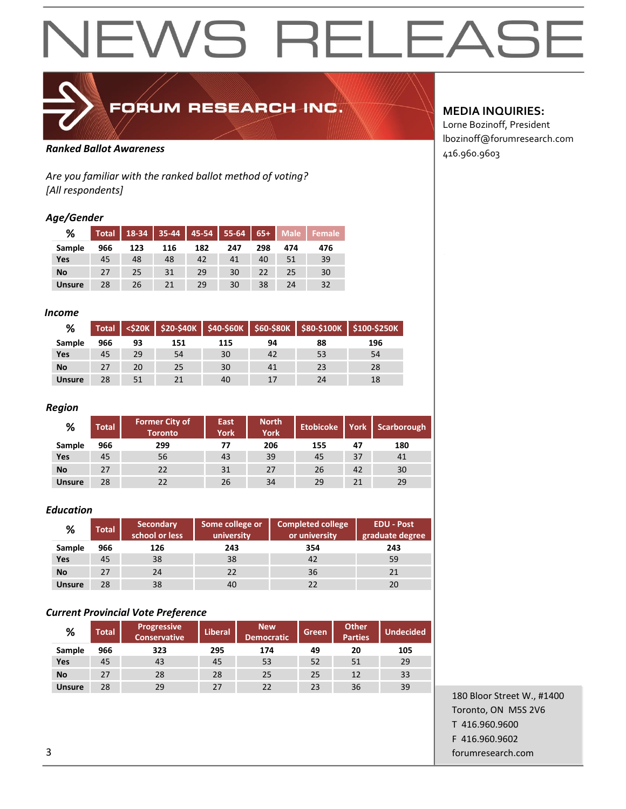## **NEWS RELEASE**



## FORUM RESEARCH INC.

#### 416.960.9603 *Ranked Ballot Awareness*

*Are you familiar with the ranked ballot method of voting? [All respondents]*

#### *Age/Gender*

| %             | <b>Total</b> |     | $18-34$ 35-44 |     | $45-54$ 55-64 | $\sqrt{65+}$ | <b>Male</b> | Female |
|---------------|--------------|-----|---------------|-----|---------------|--------------|-------------|--------|
| Sample        | 966          | 123 | 116           | 182 | 247           | 298          | 474         | 476    |
| Yes           | 45           | 48  | 48            | 42  | 41            | 40           | 51          | 39     |
| <b>No</b>     | 27           | 25  | 31            | 29  | 30            | 22           | 25          | 30     |
| <b>Unsure</b> | 28           | 26  | 21            | 29  | 30            | 38           | 24          | 32     |

#### *Income*

| %             | <b>Total</b> |    |     |     |    |    | <\$20K   \$20-\$40K   \$40-\$60K   \$60-\$80K   \$80-\$100K   \$100-\$250K |
|---------------|--------------|----|-----|-----|----|----|----------------------------------------------------------------------------|
| Sample        | 966          | 93 | 151 | 115 | 94 | 88 | 196                                                                        |
| Yes           | 45           | 29 | 54  | 30  | 42 | 53 | 54                                                                         |
| <b>No</b>     | 27           | 20 | 25  | 30  | 41 | 23 | 28                                                                         |
| <b>Unsure</b> | 28           | 51 |     | 40  | 17 | 24 | 18                                                                         |

#### *Region*

| %             | <b>Total</b> | <b>Former City of</b><br><b>Toronto</b> | <b>East</b><br>York | <b>North</b><br><b>York</b> | <b>Etobicoke</b> | York | Scarborough |
|---------------|--------------|-----------------------------------------|---------------------|-----------------------------|------------------|------|-------------|
| Sample        | 966          | 299                                     | 77                  | 206                         | 155              | 47   | 180         |
| Yes           | 45           | 56                                      | 43                  | 39                          | 45               | 37   | 41          |
| <b>No</b>     | 27           | 22                                      | 31                  | 27                          | 26               | 42   | 30          |
| <b>Unsure</b> | 28           | 22                                      | 26                  | 34                          | 29               | 21   | 29          |

#### *Education*

| %             | <b>Total</b> | Secondary<br>school or less | Some college or<br>university | <b>Completed college</b><br>or university | <b>EDU - Post</b><br>graduate degree |
|---------------|--------------|-----------------------------|-------------------------------|-------------------------------------------|--------------------------------------|
| Sample        | 966          | 126                         | 243                           | 354                                       | 243                                  |
| Yes           | 45           | 38                          | 38                            | 42                                        | 59                                   |
| <b>No</b>     | 27           | 24                          | 22                            | 36                                        | 21                                   |
| <b>Unsure</b> | 28           | 38                          | 40                            | 22                                        | 20                                   |

#### *Current Provincial Vote Preference*

| %             | <b>Total</b> | <b>Progressive</b><br><b>Conservative</b> | <b>Liberal</b> | <b>New</b><br><b>Democratic</b> | <b>Green</b> | <b>Other</b><br><b>Parties</b> | <b>Undecided</b> |
|---------------|--------------|-------------------------------------------|----------------|---------------------------------|--------------|--------------------------------|------------------|
| Sample        | 966          | 323                                       | 295            | 174                             | 49           | 20                             | 105              |
| Yes           | 45           | 43                                        | 45             | 53                              | 52           | 51                             | 29               |
| <b>No</b>     | 27           | 28                                        | 28             | 25                              | 25           | 12                             | 33               |
| <b>Unsure</b> | 28           | 29                                        | 27             | 22                              | 23           | 36                             | 39               |

#### **MEDIA INQUIRIES:**

Lorne Bozinoff, President lbozinoff@forumresearch.com

180 Bloor Street W., #1400 Toronto, ON M5S 2V6 T 416.960.9600 F 416.960.9602 3 forumresearch.com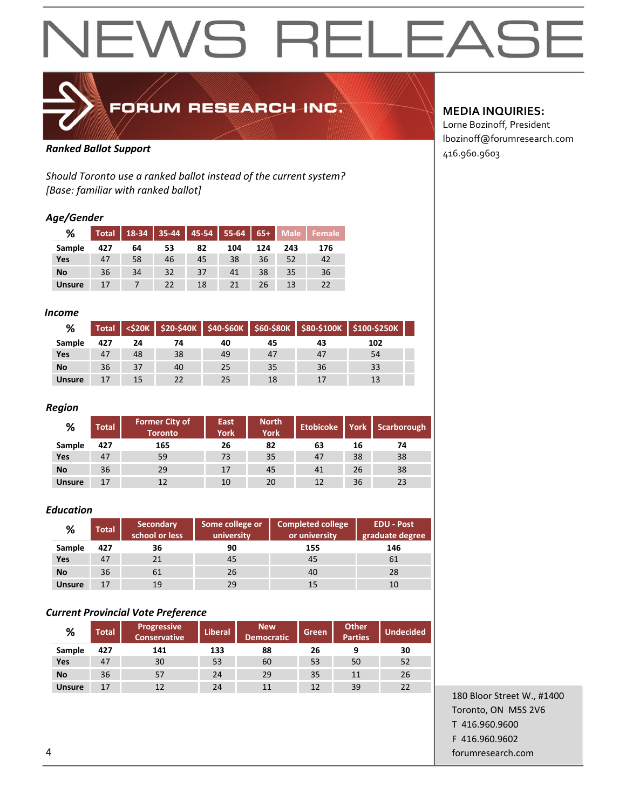## **NEWS RELEASE**



FORUM RESEARCH INC.

### Ranked Ballot Support<br>
and Support and Support of the Support of the Support of the Support of the Support of the Support of the Support of the Support of the Support of the Support of the Support of the Support of the Sup

*Should Toronto use a ranked ballot instead of the current system? [Base: familiar with ranked ballot]*

#### *Age/Gender*

| %             | <b>Total</b> |    | $18-34$ 35-44 | 45-54 | $55 - 64$ | $65+$ | <b>Male</b> | Female |
|---------------|--------------|----|---------------|-------|-----------|-------|-------------|--------|
| Sample        | 427          | 64 | 53            | 82    | 104       | 124   | 243         | 176    |
| <b>Yes</b>    | 47           | 58 | 46            | 45    | 38        | 36    | 52          | 42     |
| <b>No</b>     | 36           | 34 | 32            | 37    | 41        | 38    | 35          | 36     |
| <b>Unsure</b> | 17           |    | 22            | 18    | 21        | 26    | 13          | 22     |

#### *Income*

| %             | <b>Total</b> |    |    |    |    |    | <\$20K   \$20-\$40K   \$40-\$60K   \$60-\$80K   \$80-\$100K   \$100-\$250K |  |
|---------------|--------------|----|----|----|----|----|----------------------------------------------------------------------------|--|
| Sample        | 427          | 24 | 74 | 40 | 45 | 43 | 102                                                                        |  |
| Yes           | 47           | 48 | 38 | 49 | 47 | 47 | 54                                                                         |  |
| <b>No</b>     | 36           | 37 | 40 | 25 | 35 | 36 | 33                                                                         |  |
| <b>Unsure</b> | 17           | 15 | 22 | 25 | 18 | 17 | 13                                                                         |  |

#### *Region*

| %             | <b>Total</b> | <b>Former City of</b><br><b>Toronto</b> | East<br>York | <b>North</b><br><b>York</b> | <b>Etobicoke</b> | York | Scarborough |
|---------------|--------------|-----------------------------------------|--------------|-----------------------------|------------------|------|-------------|
| Sample        | 427          | 165                                     | 26           | 82                          | 63               | 16   | 74          |
| Yes           | 47           | 59                                      | 73           | 35                          | 47               | 38   | 38          |
| <b>No</b>     | 36           | 29                                      | 17           | 45                          | 41               | 26   | 38          |
| <b>Unsure</b> | 17           | 12                                      | 10           | 20                          | 12               | 36   | 23          |

#### *Education*

| %             | <b>Total</b> | <b>Secondary</b><br>school or less | Some college or<br>university | <b>Completed college</b><br>or university | <b>EDU - Post</b><br>graduate degree |  |
|---------------|--------------|------------------------------------|-------------------------------|-------------------------------------------|--------------------------------------|--|
| Sample        | 427          | 36                                 | 90                            | 155                                       | 146                                  |  |
| Yes           | 47           | 21                                 | 45                            | 45                                        | 61                                   |  |
| No            | 36           | 61                                 | 26                            | 40                                        | 28                                   |  |
| <b>Unsure</b> | 17           | 19                                 | 29                            | 15                                        | 10                                   |  |

#### *Current Provincial Vote Preference*

| %             | <b>Total</b> | Progressive<br><b>Conservative</b> | <b>Liberal</b> | <b>New</b><br><b>Democratic</b> | <b>Green</b> | <b>Other</b><br><b>Parties</b> | <b>Undecided</b> |
|---------------|--------------|------------------------------------|----------------|---------------------------------|--------------|--------------------------------|------------------|
| Sample        | 427          | 141                                | 133            | 88                              | 26           | 9                              | 30               |
| Yes           | 47           | 30                                 | 53             | 60                              | 53           | 50                             | 52               |
| <b>No</b>     | 36           | 57                                 | 24             | 29                              | 35           | 11                             | 26               |
| <b>Unsure</b> | 17           |                                    | 24             | 11                              | 12           | 39                             | 22               |

#### 180 Bloor Street W., #1400 Toronto, ON M5S 2V6 T 416.960.9600 F 416.960.9602 4 forumresearch.com

#### **MEDIA INQUIRIES:**

Lorne Bozinoff, President lbozinoff@forumresearch.com